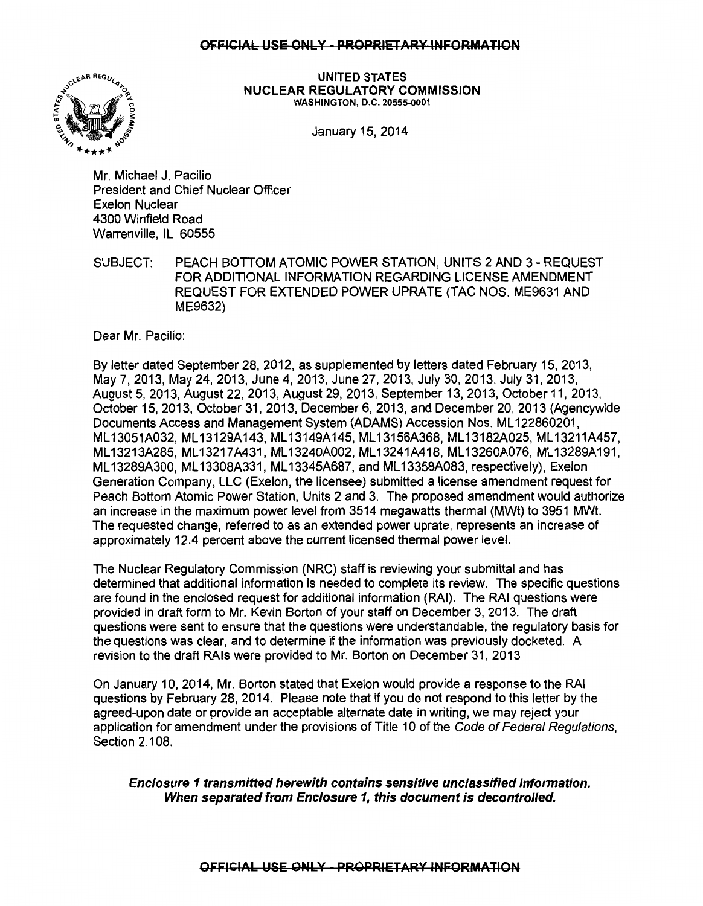#### OFFICIAL USE ONLY - PROPRIETARY INFORMATION



UNITED STATES NUCLEAR REGULATORY COMMISSION WASHINGTON, D.C. 20555-0001

January 15, 2014

Mr. Michael J. Pacilio President and Chief Nuclear Officer Exelon Nuclear 4300 Winfield Road Warrenville, IL 60555

SUBJECT: PEACH BOTIOM ATOMIC POWER STATION, UNITS 2 AND 3- REQUEST FOR ADDITIONAL INFORMATION REGARDING LICENSE AMENDMENT REQUEST FOR EXTENDED POWER UPRATE (TAC NOS. ME9631 AND ME9632)

Dear Mr. Pacilio:

By letter dated September 28, 2012, as supplemented by letters dated February 15, 2013, May 7, 2013, May 24,2013, June 4, 2013, June 27,2013, July 30,2013, July 31,2013, August 5, 2013, August 22, 2013, August 29, 2013, September 13, 2013, October 11, 2013, October 15, 2013, October 31, 2013, December 6, 2013, and December 20, 2013 (Agencywide Documents Access and Management System (ADAMS) Accession Nos. ML 122860201, ML13051A032, ML13129A143, ML13149A145, ML13156A368, ML13182A025, ML13211A457, ML13213A285, ML13217A431, ML13240A002, ML13241A418, ML13260A076, ML13289A191, ML 13289A300, ML 13308A331, ML 13345A687, and ML 13358A083, respectively), Exelon Generation Company, LLC (Exelon, the licensee) submitted a license amendment request for Peach Bottom Atomic Power Station, Units 2 and 3. The proposed amendment would authorize an increase in the maximum power level from 3514 megawatts thermal (MWt) to 3951 MWt. The requested change, referred to as an extended power uprate, represents an increase of approximately 12.4 percent above the current licensed thermal power level.

The Nuclear Regulatory Commission (NRC) staff is reviewing your submittal and has determined that additional information is needed to complete its review. The specific questions are found in the enclosed request for additional information (RAI). The RAI questions were provided in draft form to Mr. Kevin Borton of your staff on December 3, 2013. The draft questions were sent to ensure that the questions were understandable, the regulatory basis for the questions was clear, and to determine if the information was previously docketed. A revision to the draft RAis were provided to Mr. Borton on December 31, 2013.

On January 10, 2014, Mr. Borton stated that Exelon would provide a response to the RAI questions by February 28, 2014. Please note that if you do not respond to this letter by the agreed-upon date or provide an acceptable alternate date in writing, we may reject your application for amendment under the provisions of Title 10 of the Code of Federal Regulations, Section 2.108.

Enclosure 1 transmitted herewith contains sensitive unclassified information. When separated from Enclosure 1, this document is decontrolled.

OFFICIAL USE ONLY - PROPRIETARY INFORMATION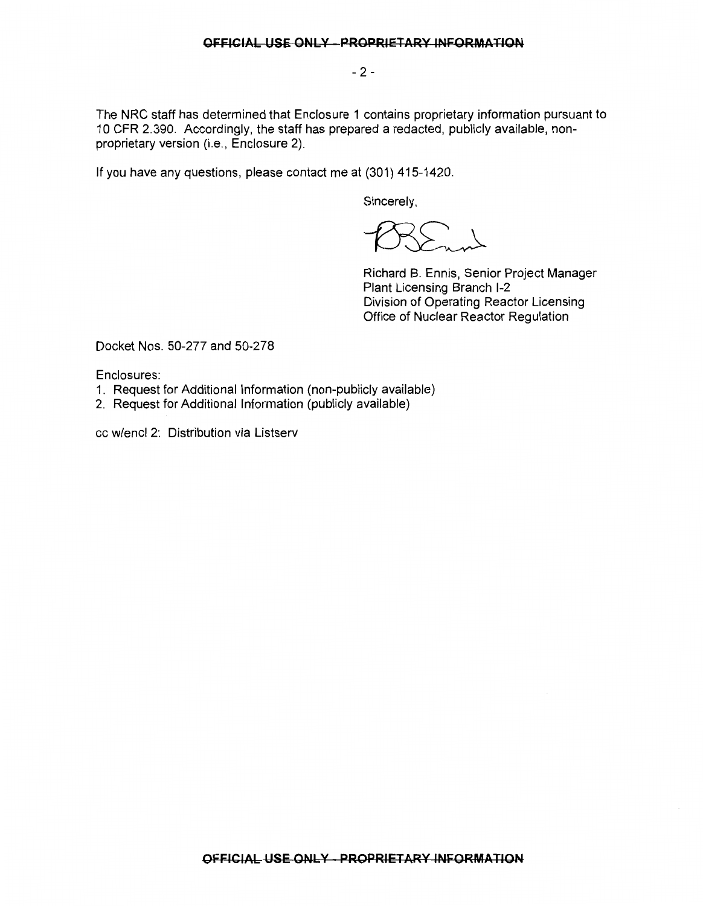- 2-

The NRC staff has determined that Enclosure 1 contains proprietary information pursuant to 10 CFR 2.390. Accordingly, the staff has prepared a redacted, publicly available, nonproprietary version (i.e., Enclosure 2).

If you have any questions, please contact me at (301) 415-1420.

Sincerely,

Richard B. Ennis, Senior Project Manager Plant Licensing Branch 1-2 Division of Operating Reactor Licensing Office of Nuclear Reactor Regulation

Docket Nos. 50-277 and 50-278

Enclosures:

- 1. Request for Additional Information (non-publicly available)
- 2. Request for Additional Information (publicly available)

cc w/encl 2: Distribution via Listserv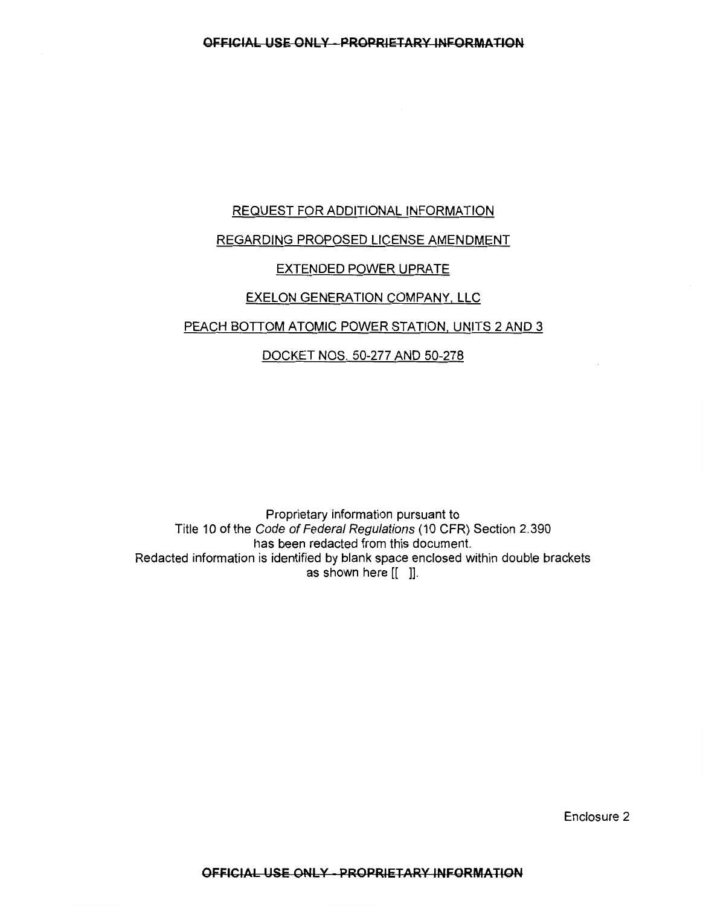# REQUEST FOR ADDITIONAL INFORMATION

# REGARDING PROPOSED LICENSE AMENDMENT

# EXTENDED POWER UPRATE

# EXELON GENERATION COMPANY, LLC

# PEACH BOTTOM ATOMIC POWER STATION, UNITS 2 AND 3

# DOCKET NOS. 50-277 AND 50-278

Proprietary information pursuant to Title 10 of the Code of Federal Regulations (10 CFR) Section 2.390 has been redacted from this document. Redacted information is identified by blank space enclosed within double brackets as shown here [[ ]].

Enclosure 2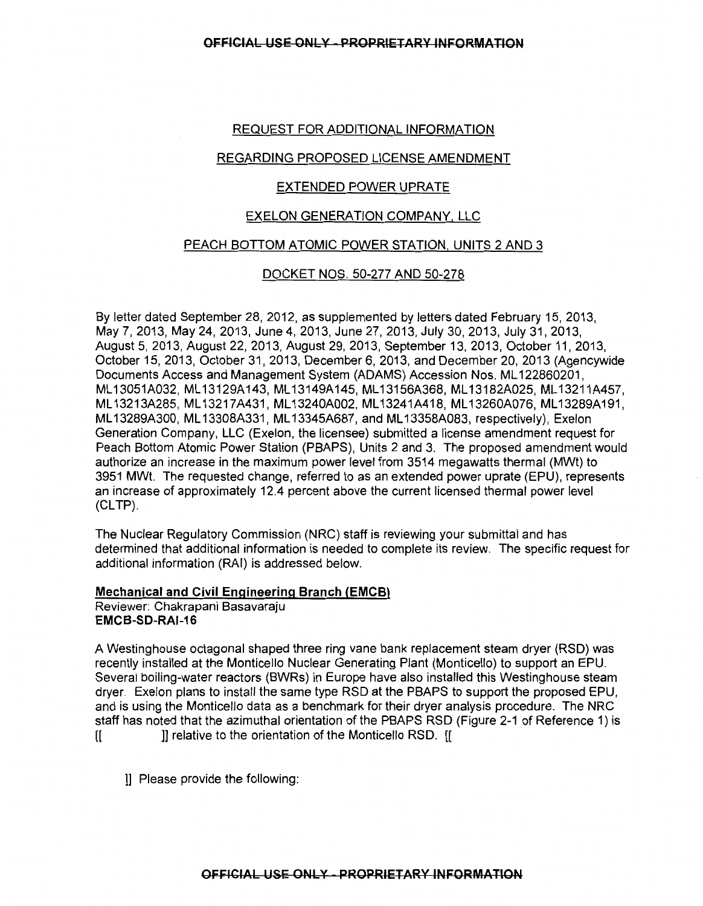## REQUEST FOR ADDITIONAL INFORMATION

## REGARDING PROPOSED LICENSE AMENDMENT

## EXTENDED POWER UPRATE

#### EXELON GENERATION COMPANY, LLC

#### PEACH BOTTOM ATOMIC POWER STATION, UNITS 2 AND 3

## DOCKET NOS. 50-277 AND 50-278

By letter dated September 28, 2012, as supplemented by letters dated February 15, 2013, May 7, 2013, May 24, 2013, June 4, 2013, June 27, 2013, July 30, 2013, July 31, 2013, August 5, 2013, August 22, 2013, August 29, 2013, September 13, 2013, October 11, 2013, October 15, 2013, October 31, 2013, December 6, 2013, and December 20, 2013 (Agencywide Documents Access and Management System (ADAMS) Accession Nos. ML 122860201, ML 13051A032, ML 13129A143, ML 13149A145, ML 13156A368, ML 13182A025, ML 13211A457, ML13213A285, ML13217A431, ML13240A002, ML13241A418, ML13260A076, ML13289A191, ML 13289A300, ML 13308A331, ML 13345A687, and ML 13358A083, respectively), Exelon Generation Company, LLC (Exelon, the licensee) submitted a license amendment request for Peach Bottom Atomic Power Station (PBAPS), Units 2 and 3. The proposed amendment would authorize an increase in the maximum power level from 3514 megawatts thermal (MWt) to 3951 MWt. The requested change, referred to as an extended power uprate (EPU), represents an increase of approximately 12.4 percent above the current licensed thermal power level  $(CLTP)$ .

The Nuclear Regulatory Commission (NRC) staff is reviewing your submittal and has determined that additional information is needed to complete its review. The specific request for additional information (RAJ) is addressed below.

#### Mechanical and Civil Engineering Branch (EMCB) Reviewer: Chakrapani Basavaraju EMCB-SD-RAI-16

A Westinghouse octagonal shaped three ring vane bank replacement steam dryer (RSD) was recently installed at the Monticello Nuclear Generating Plant (Monticello) to support an EPU. Several boiling-water reactors (BWRs) in Europe have also installed this Westinghouse steam dryer. Exelon plans to install the same type RSD at the PBAPS to support the proposed EPU, and is using the Monticello data as a benchmark for their dryer analysis procedure. The NRC staff has noted that the azimuthal orientation of the PBAPS RSD (Figure 2-1 of Reference 1) is [[ ]] relative to the orientation of the Monticello RSD. [[

]] Please provide the following: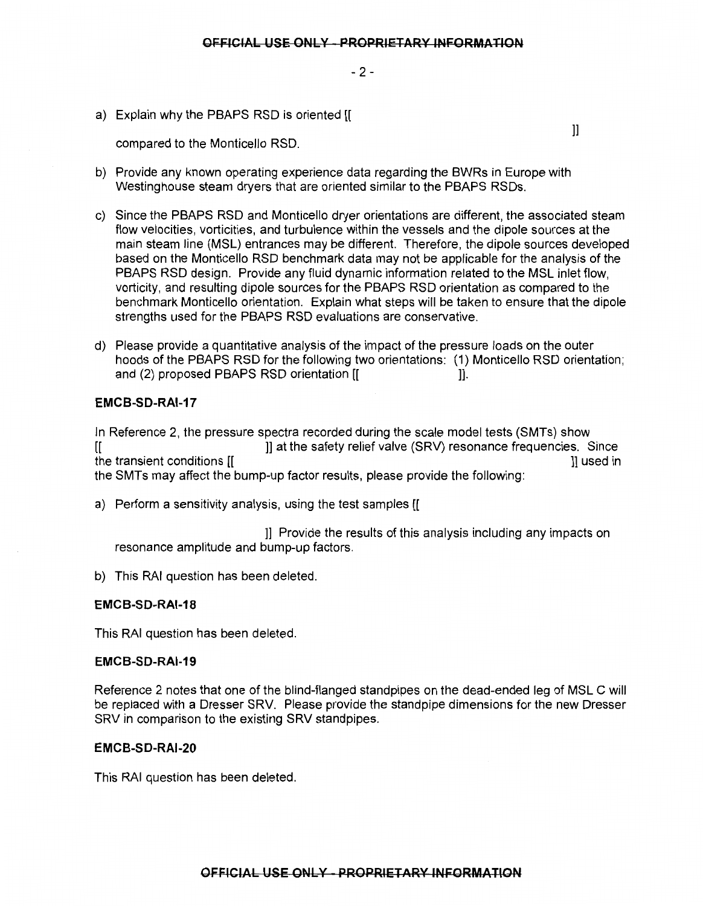$-2-$ 

a) Explain why the PBAPS RSD is oriented [[

compared to the Monticello RSD.

 $\mathbf{ll}$ 

- b) Provide any known operating experience data regarding the BWRs in Europe with Westinghouse steam dryers that are oriented similar to the PBAPS RSDs.
- c) Since the PBAPS RSD and Monticello dryer orientations are different, the associated steam flow velocities, vorticities, and turbulence within the vessels and the dipole sources at the main steam line (MSL) entrances may be different. Therefore, the dipole sources developed based on the Monticello RSD benchmark data may not be applicable for the analysis of the PBAPS RSD design. Provide any fluid dynamic information related to the MSL inlet flow, vorticity, and resulting dipole sources for the PBAPS RSD orientation as compared to the benchmark Monticello orientation. Explain what steps will be taken to ensure that the dipole strengths used for the PBAPS RSD evaluations are conservative.
- d) Please provide a quantitative analysis of the impact of the pressure loads on the outer hoods of the PBAPS RSD for the following two orientations: (1) Monticello RSD orientation; and (2) proposed PBAPS RSD orientation [[

# **EMCB-SD-RAI-17**

In Reference 2, the pressure spectra recorded during the scale model tests (SMTs) show [[ ]] at the safety relief valve (SRV) resonance frequencies. Since the transient conditions [[  $\qquad \qquad$  ]] used in the SMTs may affect the bump-up factor results, please provide the following:

a) Perform a sensitivity analysis, using the test samples [[

]] Provide the results of this analysis including any impacts on resonance amplitude and bump-up factors.

b) This RAI question has been deleted.

## **EMCB-SD-RAI-18**

This RAI question has been deleted.

#### **EMCB-SD-RAI-19**

Reference 2 notes that one of the blind-flanged standpipes on the dead-ended leg of MSL C will be replaced with a Dresser SRV. Please provide the standpipe dimensions for the new Dresser SRV in comparison to the existing SRV standpipes.

## **EMCB-SD-RAI-20**

This RAI question has been deleted.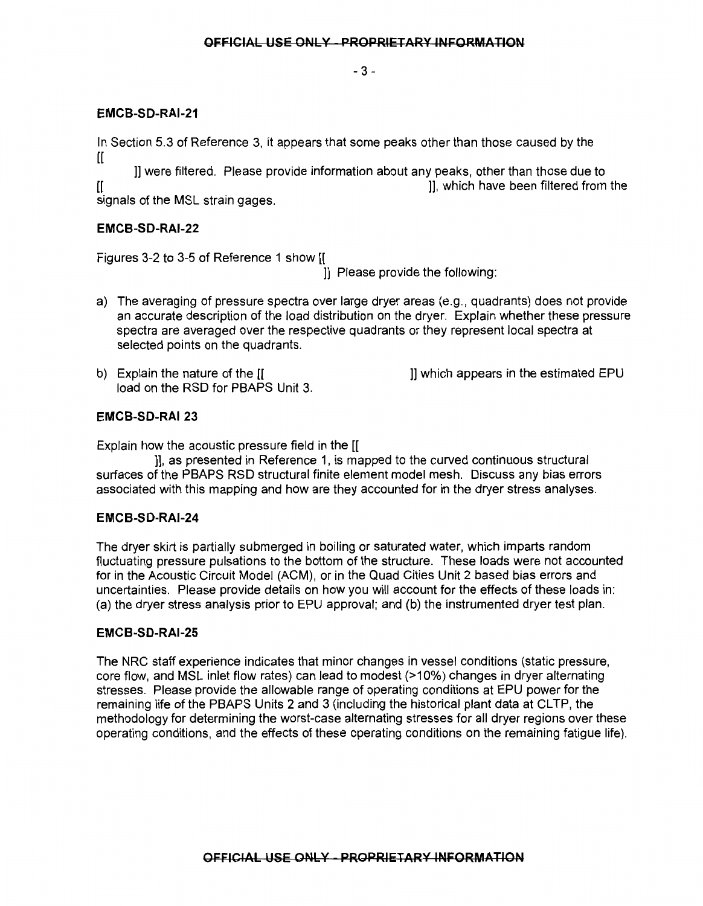- 3-

# EMCB-SD-RAI-21

In Section 5.3 of Reference 3, it appears that some peaks other than those caused by the

 $\mathfrak{g}$ ]] were filtered. Please provide information about any peaks, other than those due to [[ ]], which have been filtered from the

signals of the MSL strain gages.

# EMCB-SD-RAI-22

Figures 3-2 to 3-5 of Reference 1 show [[

]] Please provide the following:

- a) The averaging of pressure spectra over large dryer areas (e.g., quadrants) does not provide an accurate description of the load distribution on the dryer. Explain whether these pressure spectra are averaged over the respective quadrants or they represent local spectra at selected points on the quadrants.
- b) Explain the nature of the [[  $\qquad \qquad$  ]] which appears in the estimated EPU load on the RSD for PBAPS Unit 3.

# EMCB-SD-RAI 23

Explain how the acoustic pressure field in the [[

]], as presented in Reference 1, is mapped to the curved continuous structural surfaces of the PBAPS RSD structural finite element model mesh. Discuss any bias errors associated with this mapping and how are they accounted for in the dryer stress analyses.

# EMCB-SD-RAI-24

The dryer skirt is partially submerged in boiling or saturated water, which imparts random fluctuating pressure pulsations to the bottom of the structure. These loads were not accounted for in the Acoustic Circuit Model (ACM), or in the Quad Cities Unit 2 based bias errors and uncertainties. Please provide details on how you will account for the effects of these loads in: (a) the dryer stress analysis prior to EPU approval; and (b) the instrumented dryer test plan.

## EMCB-SD-RAI-25

The NRC staff experience indicates that minor changes in vessel conditions (static pressure, core flow, and MSL inlet flow rates) can lead to modest (>10%) changes in dryer alternating stresses. Please provide the allowable range of operating conditions at EPU power for the remaining life of the PBAPS Units 2 and 3 (including the historical plant data at CLTP, the methodology for determining the worst-case alternating stresses for all dryer regions over these operating conditions, and the effects of these operating conditions on the remaining fatigue life).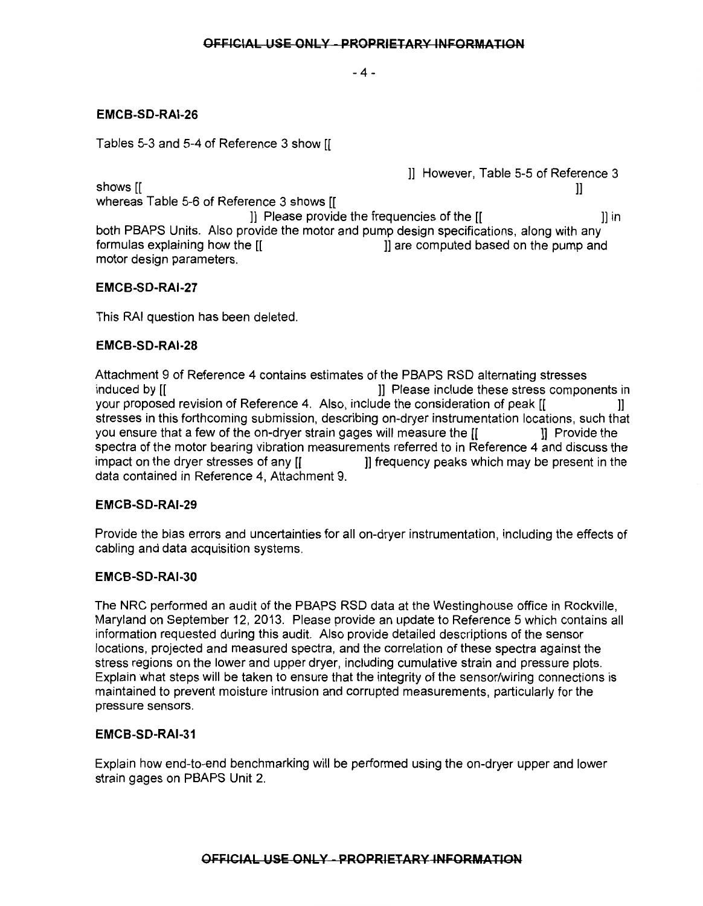-4-

# **EMCB-SD-RAI-26**

Tables 5-3 and 5-4 of Reference 3 show [[

]] However, Table 5-5 of Reference 3 shows[[ )]

whereas Table 5-6 of Reference 3 shows [[ ]] Please provide the frequencies of the [[ )] in both PBAPS Units. Also provide the motor and pump design specifications, along with any formulas explaining how the  $\begin{bmatrix} 1 & 1 \end{bmatrix}$  are computed based on the pump and motor design parameters.

## **EMCB-SD-RAI-27**

This RAI question has been deleted.

## **EMCB-SD-RAI-28**

Attachment 9 of Reference 4 contains estimates of the PBAPS RSD alternating stresses induced by [[ ]] Please include these stress components in your proposed revision of Reference 4. Also, include the consideration of peak [[ )] stresses in this forthcoming submission, describing on-dryer instrumentation locations, such that you ensure that a few of the on-dryer strain gages will measure the [[ ]] Provide the spectra of the motor bearing vibration measurements referred to in Reference 4 and discuss the impact on the dryer stresses of any [[ ]] frequency peaks which may be present in the data contained in Reference 4, Attachment 9.

## **EMCB-SD-RAI-29**

Provide the bias errors and uncertainties for all on-dryer instrumentation, including the effects of cabling and data acquisition systems.

## **EMCB-SD-RAI-30**

The NRC performed an audit of the PBAPS RSD data at the Westinghouse office in Rockville, Maryland on September 12, 2013. Please provide an update to Reference 5 which contains all information requested during this audit. Also provide detailed descriptions of the sensor locations, projected and measured spectra, and the correlation of these spectra against the stress regions on the lower and upper dryer, including cumulative strain and pressure plots. Explain what steps will be taken to ensure that the integrity of the sensor/wiring connections is maintained to prevent moisture intrusion and corrupted measurements, particularly for the pressure sensors.

## **EMCB-SD-RAI-31**

Explain how end-to-end benchmarking will be performed using the on-dryer upper and lower strain gages on PBAPS Unit 2.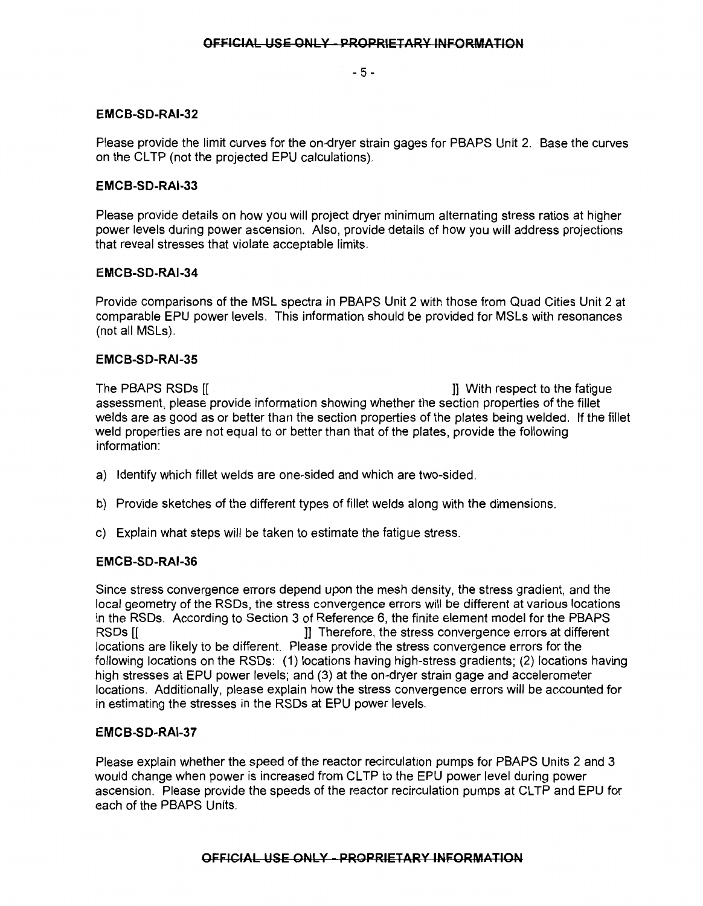- 5-

## **EMCB-SD-RAI-32**

Please provide the limit curves for the on-dryer strain gages for PBAPS Unit 2. Base the curves on the CLTP (not the projected EPU calculations).

#### **EMCB-SD-RAI-33**

Please provide details on how you will project dryer minimum alternating stress ratios at higher power levels during power ascension. Also, provide details of how you will address projections that reveal stresses that violate acceptable limits.

#### **EMCB-SD-RAI-34**

Provide comparisons of the MSL spectra in PBAPS Unit 2 with those from Quad Cities Unit 2 at comparable EPU power levels. This information should be provided for MSLs with resonances (not all MSLs).

#### **EMCB-SD-RAI-35**

The PBAPS RSDs [[ ] With respect to the fatigue assessment, please provide information showing whether the section properties of the fillet welds are as good as or better than the section properties of the plates being welded. If the fillet weld properties are not equal to or better than that of the plates, provide the following information:

- a) Identify which fillet welds are one-sided and which are two-sided.
- b) Provide sketches of the different types of fillet welds along with the dimensions.
- c) Explain what steps will be taken to estimate the fatigue stress.

#### **EMCB-SD-RAI-36**

Since stress convergence errors depend upon the mesh density, the stress gradient, and the local geometry of the RSDs, the stress convergence errors will be different at various locations in the RSDs. According to Section 3 of Reference 6, the finite element model for the PBAPS RSDs [[ ]] Therefore, the stress convergence errors at different locations are likely to be different. Please provide the stress convergence errors for the following locations on the RSDs: (1) locations having high-stress gradients; (2) locations having high stresses at EPU power levels; and (3) at the on-dryer strain gage and accelerometer locations. Additionally, please explain how the stress convergence errors will be accounted for in estimating the stresses in the RSDs at EPU power levels.

#### **EMCB-SD-RAI-37**

Please explain whether the speed of the reactor recirculation pumps for PBAPS Units 2 and 3 would change when power is increased from CL TP to the EPU power level during power ascension. Please provide the speeds of the reactor recirculation pumps at CLTP and EPU for each of the PBAPS Units.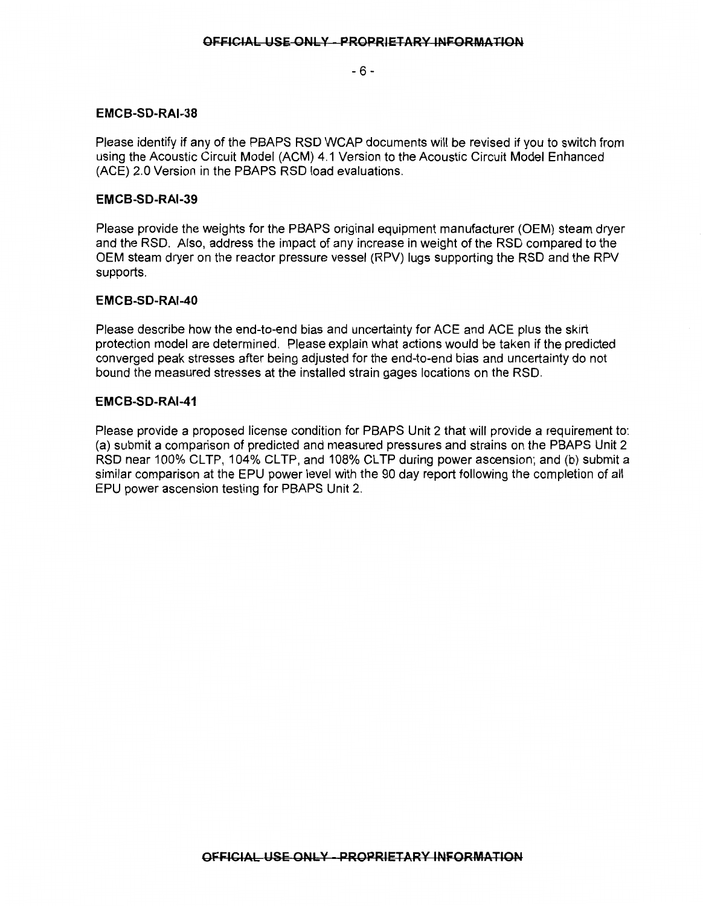- 6-

## EMCB-SD-RAI-38

Please identify if any of the PBAPS RSD WCAP documents will be revised if you to switch from using the Acoustic Circuit Model (ACM) 4.1 Version to the Acoustic Circuit Model Enhanced (ACE) 2.0 Version in the PBAPS RSD load evaluations.

#### EMCB-SD-RAI-39

Please provide the weights for the PBAPS original equipment manufacturer (OEM) steam dryer and the RSD. Also, address the impact of any increase in weight of the RSD compared to the OEM steam dryer on the reactor pressure vessel (RPV) lugs supporting the RSD and the RPV supports.

#### EMCB-SD-RAI-40

Please describe how the end-to-end bias and uncertainty for ACE and ACE plus the skirt protection model are determined. Please explain what actions would be taken if the predicted converged peak stresses after being adjusted for the end-to-end bias and uncertainty do not bound the measured stresses at the installed strain gages locations on the RSD.

#### EMCB-SD-RAI-41

Please provide a proposed license condition for PBAPS Unit 2 that will provide a requirement to: (a) submit a comparison of predicted and measured pressures and strains on the PBAPS Unit 2 RSD near 100% CLTP, 104% CLTP, and 108% CLTP during power ascension; and (b) submit a similar comparison at the EPU power level with the 90 day report following the completion of all EPU power ascension testing for PBAPS Unit 2.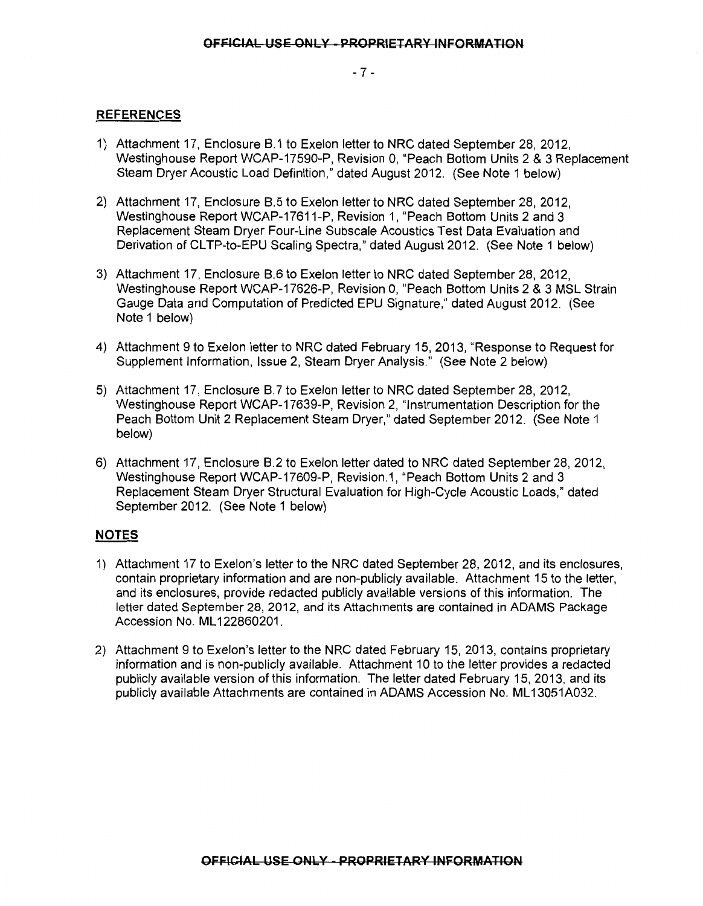- 7 -

#### **REFERENCES**

- 1) Attachment 17, Enclosure B.1 to Exelon letter to NRC dated September 28, 2012, Westinghouse Report WCAP-17590-P, Revision 0, "Peach Bottom Units 2 & 3 Replacement Steam Dryer Acoustic Load Definition," dated August 2012. (See Note 1 below)
- 2) Attachment 17, Enclosure B.5 to Exelon letter to NRC dated September 28, 2012, Westinghouse Report WCAP-17611-P, Revision 1, "Peach Bottom Units 2 and 3 Replacement Steam Dryer Four-Line Subscale Acoustics Test Data Evaluation and Derivation of CLTP-to-EPU Scaling Spectra," dated August 2012. (See Note 1 below)
- 3) Attachment 17, Enclosure B.6 to Exelon letter to NRC dated September 28, 2012, Westinghouse Report WCAP-17626-P, Revision 0, "Peach Bottom Units 2 & 3 MSL Strain Gauge Data and Computation of Predicted EPU Signature," dated August 2012. (See Note 1 below)
- 4) Attachment 9 to Exelon letter to NRC dated February 15, 2013, "Response to Request for Supplement Information, Issue 2, Steam Dryer Analysis." (See Note 2 below)
- 5) Attachment 17, Enclosure B. 7 to Exelon letter to NRC dated September 28, 2012, Westinghouse Report WCAP-17639-P, Revision 2, "Instrumentation Description for the Peach Bottom Unit 2 Replacement Steam Dryer," dated September 2012. (See Note 1 below)
- 6) Attachment 17, Enclosure B.2 to Exelon letter dated to NRC dated September 28, 2012, Westinghouse Report WCAP-17609-P, Revision.1, "Peach Bottom Units 2 and 3 Replacement Steam Dryer Structural Evaluation for High-Cycle Acoustic Loads," dated September 2012. (See Note 1 below)

#### **NOTES**

- 1) Attachment 17 to Exelon's letter to the NRC dated September 28, 2012, and its enclosures, contain proprietary information and are non-publicly available. Attachment 15 to the letter, and its enclosures, provide redacted publicly available versions of this information. The letter dated September 28, 2012, and its Attachments are contained in ADAMS Package Accession No. ML 122860201.
- 2) Attachment 9 to Exelon's letter to the NRC dated February 15, 2013, contains proprietary information and is non-publicly available. Attachment 10 to the letter provides a redacted publicly available version of this information. The letter dated February 15, 2013, and its publicly available Attachments are contained in ADAMS Accession No. ML13051A032.